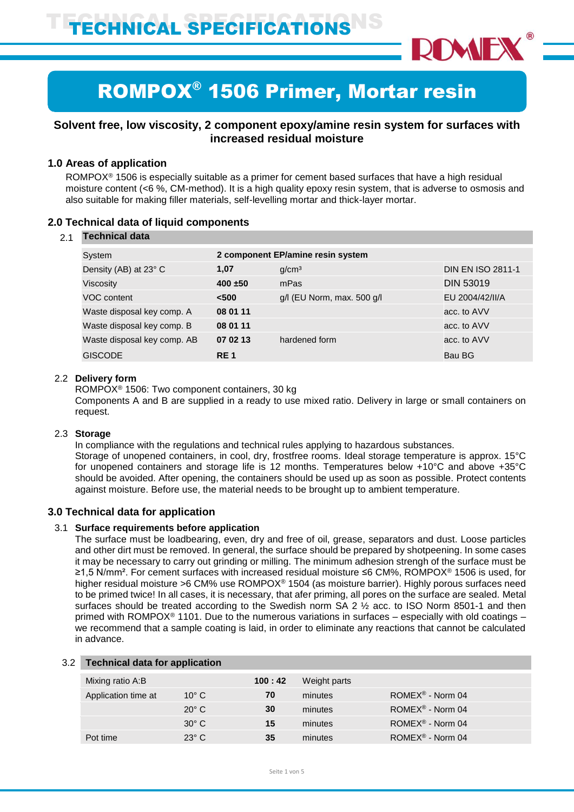

# ROMPOX® 1506 Primer, Mortar resin

# **Solvent free, low viscosity, 2 component epoxy/amine resin system for surfaces with increased residual moisture**

# **1.0 Areas of application**

ROMPOX® 1506 is especially suitable as a primer for cement based surfaces that have a high residual moisture content (<6 %, CM-method). It is a high quality epoxy resin system, that is adverse to osmosis and also suitable for making filler materials, self-levelling mortar and thick-layer mortar.

## **2.0 Technical data of liquid components**

#### 2.1 **Technical data**

| System                      |            | 2 component EP/amine resin system |                          |  |  |
|-----------------------------|------------|-----------------------------------|--------------------------|--|--|
| Density (AB) at 23° C       | 1,07       | q/cm <sup>3</sup>                 | <b>DIN EN ISO 2811-1</b> |  |  |
| <b>Viscosity</b>            | $400 + 50$ | mPas                              | <b>DIN 53019</b>         |  |  |
| VOC content                 | $500$      | $g/l$ (EU Norm, max. 500 $g/l$    | EU 2004/42/II/A          |  |  |
| Waste disposal key comp. A  | 08 01 11   |                                   | acc. to AVV              |  |  |
| Waste disposal key comp. B  | 08 01 11   |                                   | acc. to AVV              |  |  |
| Waste disposal key comp. AB | 07 02 13   | hardened form                     | acc. to AVV              |  |  |
| <b>GISCODE</b>              | <b>RE1</b> |                                   | Bau BG                   |  |  |
|                             |            |                                   |                          |  |  |

#### 2.2 **Delivery form**

ROMPOX® 1506: Two component containers, 30 kg Components A and B are supplied in a ready to use mixed ratio. Delivery in large or small containers on request.

#### 2.3 **Storage**

In compliance with the regulations and technical rules applying to hazardous substances. Storage of unopened containers, in cool, dry, frostfree rooms. Ideal storage temperature is approx. 15°C for unopened containers and storage life is 12 months. Temperatures below +10°C and above +35°C should be avoided. After opening, the containers should be used up as soon as possible. Protect contents against moisture. Before use, the material needs to be brought up to ambient temperature.

### **3.0 Technical data for application**

#### 3.1 **Surface requirements before application**

The surface must be loadbearing, even, dry and free of oil, grease, separators and dust. Loose particles and other dirt must be removed. In general, the surface should be prepared by shotpeening. In some cases it may be necessary to carry out grinding or milling. The minimum adhesion strengh of the surface must be ≥1,5 N/mm². For cement surfaces with increased residual moisture ≤6 CM%, ROMPOX® 1506 is used, for higher residual moisture >6 CM% use ROMPOX® 1504 (as moisture barrier). Highly porous surfaces need to be primed twice! In all cases, it is necessary, that afer priming, all pores on the surface are sealed. Metal surfaces should be treated according to the Swedish norm SA  $2 \frac{1}{2}$  acc. to ISO Norm 8501-1 and then primed with ROMPOX® 1101. Due to the numerous variations in surfaces – especially with old coatings – we recommend that a sample coating is laid, in order to eliminate any reactions that cannot be calculated in advance.

## 3.2 **Technical data for application**

| Mixing ratio A:B    |                | 100:42 | Weight parts |                               |
|---------------------|----------------|--------|--------------|-------------------------------|
| Application time at | $10^{\circ}$ C | 70     | minutes      | $ROMEX^{\circledR}$ - Norm 04 |
|                     | $20^{\circ}$ C | 30     | minutes      | ROMEX <sup>®</sup> - Norm 04  |
|                     | $30^\circ$ C   | 15     | minutes      | ROMEX <sup>®</sup> - Norm 04  |
| Pot time            | $23^\circ$ C   | 35     | minutes      | ROMEX <sup>®</sup> - Norm 04  |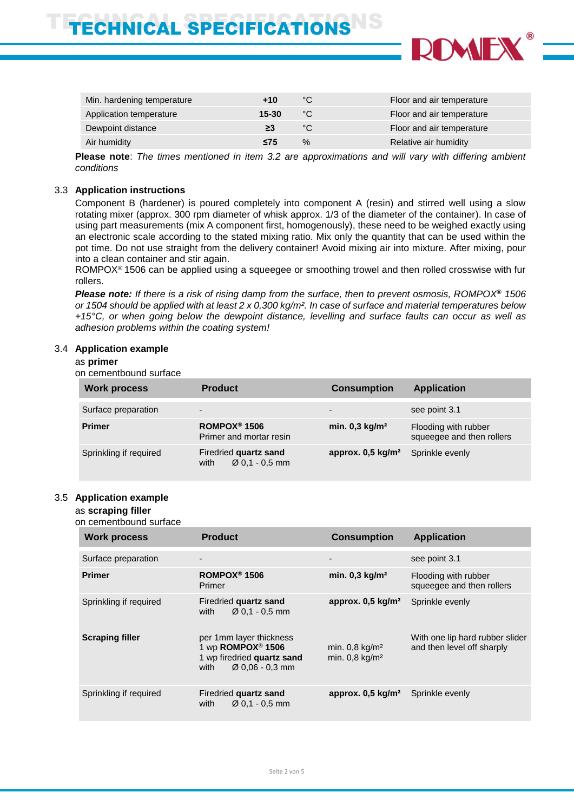# ECHNICAL SPECIFICATIONS



| Min. hardening temperature | +10       | °C           | Floor and air temperature |
|----------------------------|-----------|--------------|---------------------------|
| Application temperature    | 15-30     | $^{\circ}$ C | Floor and air temperature |
| Dewpoint distance          | ≥3        | °С           | Floor and air temperature |
| Air humidity               | $\leq$ 75 | $\%$         | Relative air humidity     |

**Please note**: *The times mentioned in item 3.2 are approximations and will vary with differing ambient conditions*

#### 3.3 **Application instructions**

Component B (hardener) is poured completely into component A (resin) and stirred well using a slow rotating mixer (approx. 300 rpm diameter of whisk approx. 1/3 of the diameter of the container). In case of using part measurements (mix A component first, homogenously), these need to be weighed exactly using an electronic scale according to the stated mixing ratio. Mix only the quantity that can be used within the pot time. Do not use straight from the delivery container! Avoid mixing air into mixture. After mixing, pour into a clean container and stir again.

ROMPOX<sup>®</sup> 1506 can be applied using a squeegee or smoothing trowel and then rolled crosswise with fur rollers.

*Please note: If there is a risk of rising damp from the surface, then to prevent osmosis, ROMPOX***®** *1506 or 1504 should be applied with at least 2 x 0,300 kg/m². In case of surface and material temperatures below +15°C, or when going below the dewpoint distance, levelling and surface faults can occur as well as adhesion problems within the coating system!*

#### 3.4 **Application example**

#### as **primer**

on cementbound surface

| <b>Work process</b>    | <b>Product</b>                                              | <b>Consumption</b>           | <b>Application</b>                                |
|------------------------|-------------------------------------------------------------|------------------------------|---------------------------------------------------|
| Surface preparation    | $\overline{\phantom{0}}$                                    | $\blacksquare$               | see point 3.1                                     |
| <b>Primer</b>          | ROMPOX <sup>®</sup> 1506<br>Primer and mortar resin         | min. $0,3$ kg/m <sup>2</sup> | Flooding with rubber<br>squeegee and then rollers |
| Sprinkling if required | Firedried quartz sand<br>$\varnothing$ 0.1 - 0.5 mm<br>with | approx. $0.5 \text{ kg/m}^2$ | Sprinkle evenly                                   |

#### 3.5 **Application example**

#### as **scraping filler**

on cementbound surface

| <b>Work process</b>    | <b>Product</b>                                                                                                                | <b>Consumption</b>                                           | <b>Application</b>                                            |
|------------------------|-------------------------------------------------------------------------------------------------------------------------------|--------------------------------------------------------------|---------------------------------------------------------------|
| Surface preparation    |                                                                                                                               |                                                              | see point 3.1                                                 |
| <b>Primer</b>          | ROMPOX <sup>®</sup> 1506<br>Primer                                                                                            | min. $0,3$ kg/m <sup>2</sup>                                 | Flooding with rubber<br>squeeqee and then rollers             |
| Sprinkling if required | Firedried quartz sand<br>$\varnothing$ 0.1 - 0.5 mm<br>with                                                                   | approx. $0,5$ kg/m <sup>2</sup>                              | Sprinkle evenly                                               |
| <b>Scraping filler</b> | per 1mm layer thickness<br>1 wp ROMPOX <sup>®</sup> 1506<br>1 wp firedried quartz sand<br>with<br>$\varnothing$ 0,06 - 0,3 mm | min. $0,8$ kg/m <sup>2</sup><br>min. $0.8$ kg/m <sup>2</sup> | With one lip hard rubber slider<br>and then level off sharply |
| Sprinkling if required | Firedried quartz sand<br>with<br>$\varnothing$ 0.1 - 0.5 mm                                                                   | approx. $0.5 \text{ kg/m}^2$                                 | Sprinkle evenly                                               |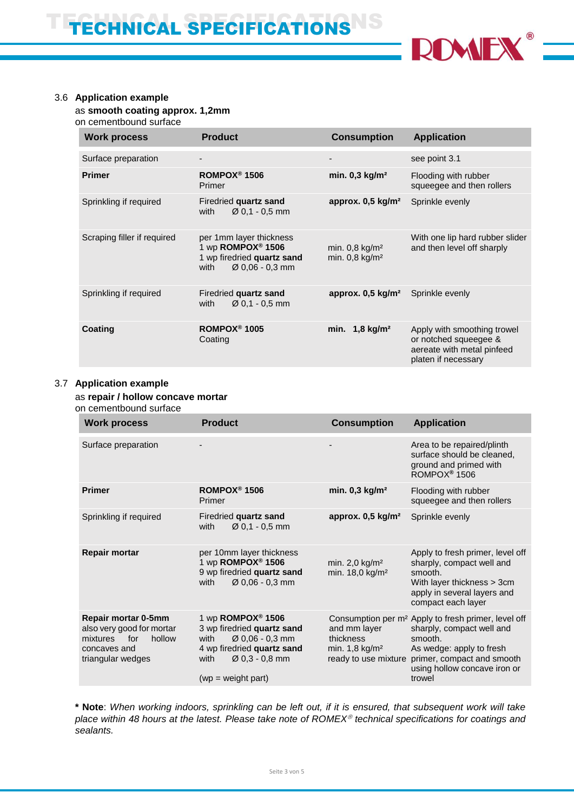

# 3.6 **Application example**

as **smooth coating approx. 1,2mm**

on cementbound surface

| <b>Work process</b>         | <b>Product</b>                                                                                                                | <b>Consumption</b>                                           | <b>Application</b>                                                                                        |
|-----------------------------|-------------------------------------------------------------------------------------------------------------------------------|--------------------------------------------------------------|-----------------------------------------------------------------------------------------------------------|
| Surface preparation         |                                                                                                                               |                                                              | see point 3.1                                                                                             |
| <b>Primer</b>               | ROMPOX <sup>®</sup> 1506<br>Primer                                                                                            | min. $0,3$ kg/m <sup>2</sup>                                 | Flooding with rubber<br>squeegee and then rollers                                                         |
| Sprinkling if required      | Firedried quartz sand<br>$\varnothing$ 0.1 - 0.5 mm<br>with                                                                   | approx. $0,5$ kg/m <sup>2</sup>                              | Sprinkle evenly                                                                                           |
| Scraping filler if required | per 1mm layer thickness<br>1 wp ROMPOX <sup>®</sup> 1506<br>1 wp firedried quartz sand<br>$\varnothing$ 0.06 - 0.3 mm<br>with | min. $0.8$ kg/m <sup>2</sup><br>min. $0,8$ kg/m <sup>2</sup> | With one lip hard rubber slider<br>and then level off sharply                                             |
| Sprinkling if required      | Firedried quartz sand<br>$\varnothing$ 0,1 - 0,5 mm<br>with                                                                   | approx. $0,5 \text{ kg/m}^2$                                 | Sprinkle evenly                                                                                           |
| <b>Coating</b>              | ROMPOX <sup>®</sup> 1005<br>Coating                                                                                           | min. $1,8$ kg/m <sup>2</sup>                                 | Apply with smoothing trowel<br>or notched squeegee &<br>aereate with metal pinfeed<br>platen if necessary |

#### 3.7 **Application example**

# as **repair / hollow concave mortar**

on cementbound surface

| <b>Work process</b>                                                                                                | <b>Product</b>                                                                                                                                                                       | <b>Consumption</b>                                          | <b>Application</b>                                                                                                                                                                                                               |
|--------------------------------------------------------------------------------------------------------------------|--------------------------------------------------------------------------------------------------------------------------------------------------------------------------------------|-------------------------------------------------------------|----------------------------------------------------------------------------------------------------------------------------------------------------------------------------------------------------------------------------------|
| Surface preparation                                                                                                |                                                                                                                                                                                      |                                                             | Area to be repaired/plinth<br>surface should be cleaned,<br>ground and primed with<br>ROMPOX <sup>®</sup> 1506                                                                                                                   |
| <b>Primer</b>                                                                                                      | ROMPOX <sup>®</sup> 1506<br>Primer                                                                                                                                                   | min. $0,3$ kg/m <sup>2</sup>                                | Flooding with rubber<br>squeegee and then rollers                                                                                                                                                                                |
| Sprinkling if required                                                                                             | Firedried quartz sand<br>$\varnothing$ 0.1 - 0.5 mm<br>with                                                                                                                          | approx. $0,5$ kg/m <sup>2</sup>                             | Sprinkle evenly                                                                                                                                                                                                                  |
| <b>Repair mortar</b>                                                                                               | per 10mm layer thickness<br>1 wp ROMPOX <sup>®</sup> 1506<br>9 wp firedried quartz sand<br>$\varnothing$ 0,06 - 0,3 mm<br>with                                                       | min. $2,0$ kg/m <sup>2</sup><br>min. 18,0 kg/m <sup>2</sup> | Apply to fresh primer, level off<br>sharply, compact well and<br>smooth.<br>With layer thickness > 3cm<br>apply in several layers and<br>compact each layer                                                                      |
| Repair mortar 0-5mm<br>also very good for mortar<br>hollow<br>mixtures<br>for<br>concaves and<br>triangular wedges | 1 wp $ROMPOX®$ 1506<br>3 wp firedried quartz sand<br>$\varnothing$ 0.06 - 0.3 mm<br>with<br>4 wp firedried quartz sand<br>$\varnothing$ 0,3 - 0,8 mm<br>with<br>$(wp = weight part)$ | and mm layer<br>thickness<br>min. $1,8$ kg/m <sup>2</sup>   | Consumption per m <sup>2</sup> Apply to fresh primer, level off<br>sharply, compact well and<br>smooth.<br>As wedge: apply to fresh<br>ready to use mixture primer, compact and smooth<br>using hollow concave iron or<br>trowel |

**\* Note**: *When working indoors, sprinkling can be left out, if it is ensured, that subsequent work will take place within 48 hours at the latest. Please take note of ROMEX technical specifications for coatings and sealants.*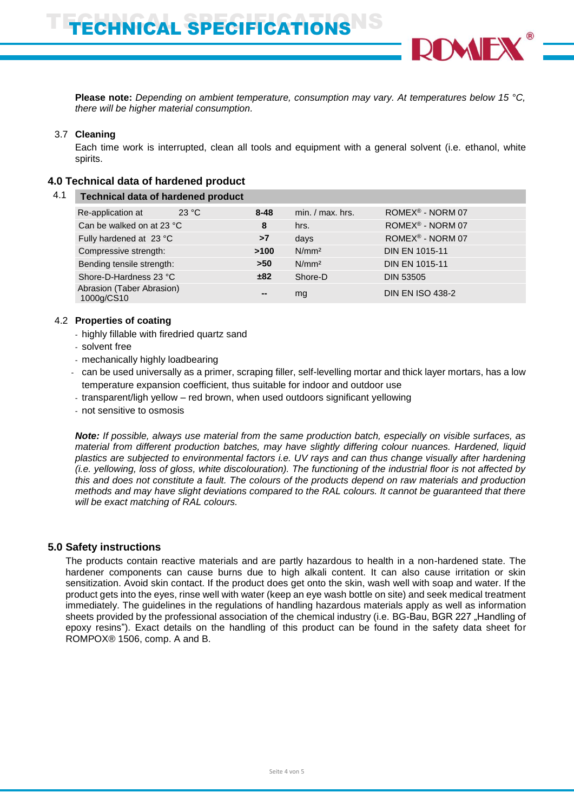**Please note:** *Depending on ambient temperature, consumption may vary. At temperatures below 15 °C, there will be higher material consumption.*

#### 3.7 **Cleaning**

Each time work is interrupted, clean all tools and equipment with a general solvent (i.e. ethanol, white spirits.

#### **4.0 Technical data of hardened product**

| 4.1                       | <b>Technical data of hardened product</b> |      |                   |                       |                              |
|---------------------------|-------------------------------------------|------|-------------------|-----------------------|------------------------------|
|                           | 23 °C<br>Re-application at                |      | $8 - 48$          | $min. / max.$ hrs.    | ROMEX <sup>®</sup> - NORM 07 |
|                           | Can be walked on at 23 °C                 |      | 8                 | hrs.                  | ROMEX <sup>®</sup> - NORM 07 |
|                           | Fully hardened at 23 °C                   |      | >7                | days                  | ROMEX <sup>®</sup> - NORM 07 |
| Compressive strength:     |                                           | >100 | N/mm <sup>2</sup> | <b>DIN EN 1015-11</b> |                              |
| Bending tensile strength: |                                           | >50  | N/mm <sup>2</sup> | <b>DIN EN 1015-11</b> |                              |
| Shore-D-Hardness 23 °C    |                                           | ±82  | Shore-D           | <b>DIN 53505</b>      |                              |
|                           | Abrasion (Taber Abrasion)<br>1000g/CS10   |      | $\sim$            | mg                    | <b>DIN EN ISO 438-2</b>      |
|                           |                                           |      |                   |                       |                              |

#### 4.2 **Properties of coating**

- highly fillable with firedried quartz sand
- solvent free
- mechanically highly loadbearing
- can be used universally as a primer, scraping filler, self-levelling mortar and thick layer mortars, has a low temperature expansion coefficient, thus suitable for indoor and outdoor use
- transparent/ligh yellow red brown, when used outdoors significant yellowing
- not sensitive to osmosis

*Note: If possible, always use material from the same production batch, especially on visible surfaces, as material from different production batches, may have slightly differing colour nuances. Hardened, liquid plastics are subjected to environmental factors i.e. UV rays and can thus change visually after hardening (i.e. yellowing, loss of gloss, white discolouration). The functioning of the industrial floor is not affected by this and does not constitute a fault. The colours of the products depend on raw materials and production methods and may have slight deviations compared to the RAL colours. It cannot be guaranteed that there will be exact matching of RAL colours.*

## **5.0 Safety instructions**

The products contain reactive materials and are partly hazardous to health in a non-hardened state. The hardener components can cause burns due to high alkali content. It can also cause irritation or skin sensitization. Avoid skin contact. If the product does get onto the skin, wash well with soap and water. If the product gets into the eyes, rinse well with water (keep an eye wash bottle on site) and seek medical treatment immediately. The guidelines in the regulations of handling hazardous materials apply as well as information sheets provided by the professional association of the chemical industry (i.e. BG-Bau, BGR 227 "Handling of epoxy resins"). Exact details on the handling of this product can be found in the safety data sheet for ROMPOX® 1506, comp. A and B.